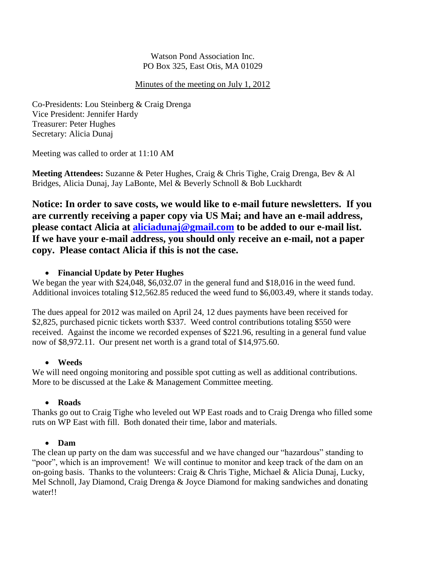Watson Pond Association Inc. PO Box 325, East Otis, MA 01029

#### Minutes of the meeting on July 1, 2012

Co-Presidents: Lou Steinberg & Craig Drenga Vice President: Jennifer Hardy Treasurer: Peter Hughes Secretary: Alicia Dunaj

Meeting was called to order at 11:10 AM

**Meeting Attendees:** Suzanne & Peter Hughes, Craig & Chris Tighe, Craig Drenga, Bev & Al Bridges, Alicia Dunaj, Jay LaBonte, Mel & Beverly Schnoll & Bob Luckhardt

**Notice: In order to save costs, we would like to e-mail future newsletters. If you are currently receiving a paper copy via US Mai; and have an e-mail address, please contact Alicia at [aliciadunaj@gmail.com](mailto:aliciadunaj@gmail.com) to be added to our e-mail list. If we have your e-mail address, you should only receive an e-mail, not a paper copy. Please contact Alicia if this is not the case.**

# **Financial Update by Peter Hughes**

We began the year with \$24,048, \$6,032.07 in the general fund and \$18,016 in the weed fund. Additional invoices totaling \$12,562.85 reduced the weed fund to \$6,003.49, where it stands today.

The dues appeal for 2012 was mailed on April 24, 12 dues payments have been received for \$2,825, purchased picnic tickets worth \$337. Weed control contributions totaling \$550 were received. Against the income we recorded expenses of \$221.96, resulting in a general fund value now of \$8,972.11. Our present net worth is a grand total of \$14,975.60.

# **Weeds**

We will need ongoing monitoring and possible spot cutting as well as additional contributions. More to be discussed at the Lake & Management Committee meeting.

# **Roads**

Thanks go out to Craig Tighe who leveled out WP East roads and to Craig Drenga who filled some ruts on WP East with fill. Both donated their time, labor and materials.

# **Dam**

The clean up party on the dam was successful and we have changed our "hazardous" standing to "poor", which is an improvement! We will continue to monitor and keep track of the dam on an on-going basis. Thanks to the volunteers: Craig & Chris Tighe, Michael & Alicia Dunaj, Lucky, Mel Schnoll, Jay Diamond, Craig Drenga & Joyce Diamond for making sandwiches and donating water!!